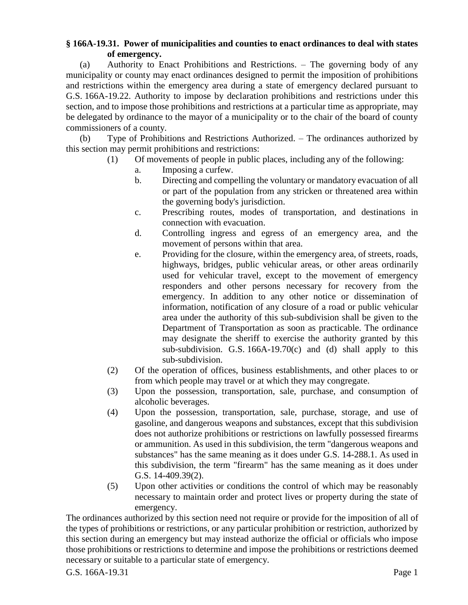## **§ 166A-19.31. Power of municipalities and counties to enact ordinances to deal with states of emergency.**

(a) Authority to Enact Prohibitions and Restrictions. – The governing body of any municipality or county may enact ordinances designed to permit the imposition of prohibitions and restrictions within the emergency area during a state of emergency declared pursuant to G.S. 166A-19.22. Authority to impose by declaration prohibitions and restrictions under this section, and to impose those prohibitions and restrictions at a particular time as appropriate, may be delegated by ordinance to the mayor of a municipality or to the chair of the board of county commissioners of a county.

(b) Type of Prohibitions and Restrictions Authorized. – The ordinances authorized by this section may permit prohibitions and restrictions:

- (1) Of movements of people in public places, including any of the following:
	- a. Imposing a curfew.
	- b. Directing and compelling the voluntary or mandatory evacuation of all or part of the population from any stricken or threatened area within the governing body's jurisdiction.
	- c. Prescribing routes, modes of transportation, and destinations in connection with evacuation.
	- d. Controlling ingress and egress of an emergency area, and the movement of persons within that area.
	- e. Providing for the closure, within the emergency area, of streets, roads, highways, bridges, public vehicular areas, or other areas ordinarily used for vehicular travel, except to the movement of emergency responders and other persons necessary for recovery from the emergency. In addition to any other notice or dissemination of information, notification of any closure of a road or public vehicular area under the authority of this sub-subdivision shall be given to the Department of Transportation as soon as practicable. The ordinance may designate the sheriff to exercise the authority granted by this sub-subdivision. G.S.  $166A-19.70(c)$  and (d) shall apply to this sub-subdivision.
	- (2) Of the operation of offices, business establishments, and other places to or from which people may travel or at which they may congregate.
	- (3) Upon the possession, transportation, sale, purchase, and consumption of alcoholic beverages.
	- (4) Upon the possession, transportation, sale, purchase, storage, and use of gasoline, and dangerous weapons and substances, except that this subdivision does not authorize prohibitions or restrictions on lawfully possessed firearms or ammunition. As used in this subdivision, the term "dangerous weapons and substances" has the same meaning as it does under G.S. 14-288.1. As used in this subdivision, the term "firearm" has the same meaning as it does under G.S. 14-409.39(2).
	- (5) Upon other activities or conditions the control of which may be reasonably necessary to maintain order and protect lives or property during the state of emergency.

The ordinances authorized by this section need not require or provide for the imposition of all of the types of prohibitions or restrictions, or any particular prohibition or restriction, authorized by this section during an emergency but may instead authorize the official or officials who impose those prohibitions or restrictions to determine and impose the prohibitions or restrictions deemed necessary or suitable to a particular state of emergency.

G.S. 166A-19.31 Page 1